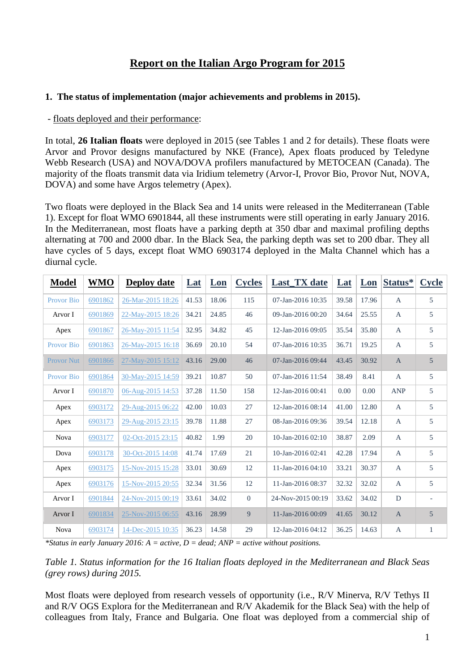# **Report on the Italian Argo Program for 2015**

#### **1. The status of implementation (major achievements and problems in 2015).**

#### - floats deployed and their performance:

In total, **26 Italian floats** were deployed in 2015 (see Tables 1 and 2 for details). These floats were Arvor and Provor designs manufactured by NKE (France), Apex floats produced by Teledyne Webb Research (USA) and NOVA/DOVA profilers manufactured by METOCEAN (Canada). The majority of the floats transmit data via Iridium telemetry (Arvor-I, Provor Bio, Provor Nut, NOVA, DOVA) and some have Argos telemetry (Apex).

Two floats were deployed in the Black Sea and 14 units were released in the Mediterranean (Table 1). Except for float WMO 6901844, all these instruments were still operating in early January 2016. In the Mediterranean, most floats have a parking depth at 350 dbar and maximal profiling depths alternating at 700 and 2000 dbar. In the Black Sea, the parking depth was set to 200 dbar. They all have cycles of 5 days, except float WMO 6903174 deployed in the Malta Channel which has a diurnal cycle.

| <b>Model</b>      | <b>WMO</b> | <b>Deploy date</b> | $Lat$ | Lon   | <b>Cycles</b> | Last_TX date      | <b>Lat</b> | Lon   | Status*      | <b>Cycle</b> |
|-------------------|------------|--------------------|-------|-------|---------------|-------------------|------------|-------|--------------|--------------|
| <b>Provor Bio</b> | 6901862    | 26-Mar-2015 18:26  | 41.53 | 18.06 | 115           | 07-Jan-2016 10:35 | 39.58      | 17.96 | $\mathbf{A}$ | 5            |
| Arvor I           | 6901869    | 22-May-2015 18:26  | 34.21 | 24.85 | 46            | 09-Jan-2016 00:20 | 34.64      | 25.55 | A            | 5            |
| Apex              | 6901867    | 26-May-2015 11:54  | 32.95 | 34.82 | 45            | 12-Jan-2016 09:05 | 35.54      | 35.80 | $\mathbf{A}$ | 5            |
| <b>Provor Bio</b> | 6901863    | 26-May-2015 16:18  | 36.69 | 20.10 | 54            | 07-Jan-2016 10:35 | 36.71      | 19.25 | $\mathbf{A}$ | 5            |
| <b>Provor Nut</b> | 6901866    | 27-May-2015 15:12  | 43.16 | 29.00 | 46            | 07-Jan-2016 09:44 | 43.45      | 30.92 | $\mathbf{A}$ | 5            |
| <b>Provor Bio</b> | 6901864    | 30-May-2015 14:59  | 39.21 | 10.87 | 50            | 07-Jan-2016 11:54 | 38.49      | 8.41  | $\mathbf{A}$ | 5            |
| Arvor I           | 6901870    | 06-Aug-2015 14:53  | 37.28 | 11.50 | 158           | 12-Jan-2016 00:41 | 0.00       | 0.00  | <b>ANP</b>   | 5            |
| Apex              | 6903172    | 29-Aug-2015 06:22  | 42.00 | 10.03 | 27            | 12-Jan-2016 08:14 | 41.00      | 12.80 | $\mathbf{A}$ | 5            |
| Apex              | 6903173    | 29-Aug-2015 23:15  | 39.78 | 11.88 | 27            | 08-Jan-2016 09:36 | 39.54      | 12.18 | $\mathbf{A}$ | 5            |
| <b>Nova</b>       | 6903177    | 02-Oct-2015 23:15  | 40.82 | 1.99  | 20            | 10-Jan-2016 02:10 | 38.87      | 2.09  | A            | 5            |
| Dova              | 6903178    | 30-Oct-2015 14:08  | 41.74 | 17.69 | 21            | 10-Jan-2016 02:41 | 42.28      | 17.94 | $\mathbf{A}$ | 5            |
| Apex              | 6903175    | 15-Nov-2015 15:28  | 33.01 | 30.69 | 12            | 11-Jan-2016 04:10 | 33.21      | 30.37 | A            | 5            |
| Apex              | 6903176    | 15-Nov-2015 20:55  | 32.34 | 31.56 | 12            | 11-Jan-2016 08:37 | 32.32      | 32.02 | $\mathbf{A}$ | 5            |
| Arvor I           | 6901844    | 24-Nov-2015 00:19  | 33.61 | 34.02 | $\mathbf{0}$  | 24-Nov-2015 00:19 | 33.62      | 34.02 | D            |              |
| Arvor I           | 6901834    | 25-Nov-2015 06:55  | 43.16 | 28.99 | 9             | 11-Jan-2016 00:09 | 41.65      | 30.12 | $\mathbf{A}$ | 5            |
| <b>Nova</b>       | 6903174    | 14-Dec-2015 10:35  | 36.23 | 14.58 | 29            | 12-Jan-2016 04:12 | 36.25      | 14.63 | $\mathbf{A}$ | $\mathbf{1}$ |

*\*Status in early January 2016: A = active, D = dead; ANP = active without positions.*

*Table 1. Status information for the 16 Italian floats deployed in the Mediterranean and Black Seas (grey rows) during 2015.*

Most floats were deployed from research vessels of opportunity (i.e., R/V Minerva, R/V Tethys II and R/V OGS Explora for the Mediterranean and R/V Akademik for the Black Sea) with the help of colleagues from Italy, France and Bulgaria. One float was deployed from a commercial ship of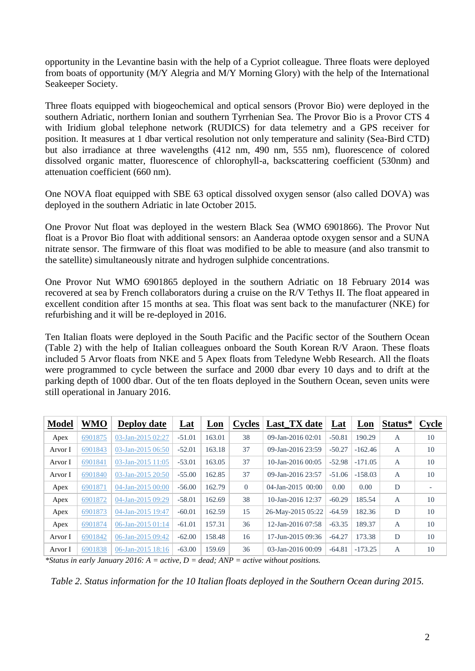opportunity in the Levantine basin with the help of a Cypriot colleague. Three floats were deployed from boats of opportunity (M/Y Alegria and M/Y Morning Glory) with the help of the International Seakeeper Society.

Three floats equipped with biogeochemical and optical sensors (Provor Bio) were deployed in the southern Adriatic, northern Ionian and southern Tyrrhenian Sea. The Provor Bio is a Provor CTS 4 with Iridium global telephone network (RUDICS) for data telemetry and a GPS receiver for position. It measures at 1 dbar vertical resolution not only temperature and salinity (Sea-Bird CTD) but also irradiance at three wavelengths (412 nm, 490 nm, 555 nm), fluorescence of colored dissolved organic matter, fluorescence of chlorophyll-a, backscattering coefficient (530nm) and attenuation coefficient (660 nm).

One NOVA float equipped with SBE 63 optical dissolved oxygen sensor (also called DOVA) was deployed in the southern Adriatic in late October 2015.

One Provor Nut float was deployed in the western Black Sea (WMO 6901866). The Provor Nut float is a Provor Bio float with additional sensors: an Aanderaa optode oxygen sensor and a SUNA nitrate sensor. The firmware of this float was modified to be able to measure (and also transmit to the satellite) simultaneously nitrate and hydrogen sulphide concentrations.

One Provor Nut WMO 6901865 deployed in the southern Adriatic on 18 February 2014 was recovered at sea by French collaborators during a cruise on the R/V Tethys II. The float appeared in excellent condition after 15 months at sea. This float was sent back to the manufacturer (NKE) for refurbishing and it will be re-deployed in 2016.

Ten Italian floats were deployed in the South Pacific and the Pacific sector of the Southern Ocean (Table 2) with the help of Italian colleagues onboard the South Korean R/V Araon. These floats included 5 Arvor floats from NKE and 5 Apex floats from Teledyne Webb Research. All the floats were programmed to cycle between the surface and 2000 dbar every 10 days and to drift at the parking depth of 1000 dbar. Out of the ten floats deployed in the Southern Ocean, seven units were still operational in January 2016.

| <b>Model</b> | <b>WMO</b> | <b>Deploy date</b> | <u>Lat</u> | <u>Lon</u> | <b>Cycles</b> | Last_TX date           | <u>Lat</u> | Lon       | Status*        | Cycle |
|--------------|------------|--------------------|------------|------------|---------------|------------------------|------------|-----------|----------------|-------|
| Apex         | 6901875    | 03-Jan-2015 02:27  | $-51.01$   | 163.01     | 38            | 09-Jan-2016 02:01      | $-50.81$   | 190.29    | A              | 10    |
| Arvor I      | 6901843    | 03-Jan-2015 06:50  | $-52.01$   | 163.18     | 37            | 09-Jan-2016 23:59      | $-50.27$   | $-162.46$ | $\overline{A}$ | 10    |
| Arvor I      | 6901841    | 03-Jan-2015 11:05  | $-53.01$   | 163.05     | 37            | $10$ -Jan-2016 00:05   | $-52.98$   | $-171.05$ | A              | 10    |
| Arvor I      | 6901840    | 03-Jan-2015 20:50  | $-55.00$   | 162.85     | 37            | 09-Jan-2016 23:57      | $-51.06$   | $-158.03$ | $\overline{A}$ | 10    |
| Apex         | 6901871    | 04-Jan-2015 00:00  | $-56.00$   | 162.79     | $\Omega$      | $04$ -Jan-2015 $00:00$ | 0.00       | 0.00      | D              |       |
| Apex         | 6901872    | 04-Jan-2015 09:29  | $-58.01$   | 162.69     | 38            | 10-Jan-2016 12:37      | $-60.29$   | 185.54    | $\overline{A}$ | 10    |
| Apex         | 6901873    | 04-Jan-2015 19:47  | $-60.01$   | 162.59     | 15            | 26-May-2015 05:22      | $-64.59$   | 182.36    | D              | 10    |
| Apex         | 6901874    | 06-Jan-2015 01:14  | $-61.01$   | 157.31     | 36            | 12-Jan-2016 07:58      | $-63.35$   | 189.37    | $\overline{A}$ | 10    |
| Arvor I      | 6901842    | 06-Jan-2015 09:42  | $-62.00$   | 158.48     | 16            | 17-Jun-2015 09:36      | $-64.27$   | 173.38    | D              | 10    |
| Arvor I      | 6901838    | 06-Jan-2015 18:16  | $-63.00$   | 159.69     | 36            | $03$ -Jan-2016 00:09   | $-64.81$   | $-173.25$ | $\overline{A}$ | 10    |

*\*Status in early January 2016: A = active, D = dead; ANP = active without positions.*

*Table 2. Status information for the 10 Italian floats deployed in the Southern Ocean during 2015.*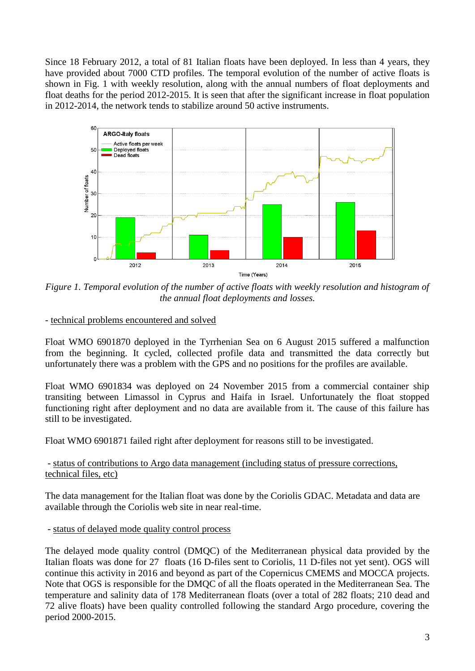Since 18 February 2012, a total of 81 Italian floats have been deployed. In less than 4 years, they have provided about 7000 CTD profiles. The temporal evolution of the number of active floats is shown in Fig. 1 with weekly resolution, along with the annual numbers of float deployments and float deaths for the period 2012-2015. It is seen that after the significant increase in float population in 2012-2014, the network tends to stabilize around 50 active instruments.



*Figure 1. Temporal evolution of the number of active floats with weekly resolution and histogram of the annual float deployments and losses.*

- technical problems encountered and solved

Float WMO 6901870 deployed in the Tyrrhenian Sea on 6 August 2015 suffered a malfunction from the beginning. It cycled, collected profile data and transmitted the data correctly but unfortunately there was a problem with the GPS and no positions for the profiles are available.

Float WMO 6901834 was deployed on 24 November 2015 from a commercial container ship transiting between Limassol in Cyprus and Haifa in Israel. Unfortunately the float stopped functioning right after deployment and no data are available from it. The cause of this failure has still to be investigated.

Float WMO 6901871 failed right after deployment for reasons still to be investigated.

## - status of contributions to Argo data management (including status of pressure corrections, technical files, etc)

The data management for the Italian float was done by the Coriolis GDAC. Metadata and data are available through the Coriolis web site in near real-time.

- status of delayed mode quality control process

The delayed mode quality control (DMQC) of the Mediterranean physical data provided by the Italian floats was done for 27 floats (16 D-files sent to Coriolis, 11 D-files not yet sent). OGS will continue this activity in 2016 and beyond as part of the Copernicus CMEMS and MOCCA projects. Note that OGS is responsible for the DMQC of all the floats operated in the Mediterranean Sea. The temperature and salinity data of 178 Mediterranean floats (over a total of 282 floats; 210 dead and 72 alive floats) have been quality controlled following the standard Argo procedure, covering the period 2000-2015.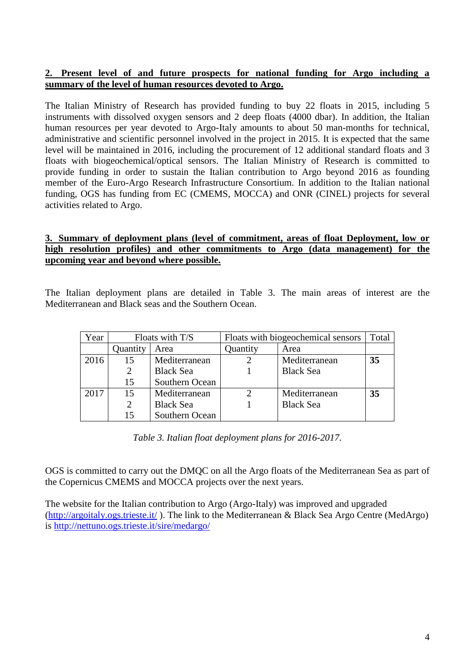#### **2. Present level of and future prospects for national funding for Argo including a summary of the level of human resources devoted to Argo.**

The Italian Ministry of Research has provided funding to buy 22 floats in 2015, including 5 instruments with dissolved oxygen sensors and 2 deep floats (4000 dbar). In addition, the Italian human resources per year devoted to Argo-Italy amounts to about 50 man-months for technical, administrative and scientific personnel involved in the project in 2015. It is expected that the same level will be maintained in 2016, including the procurement of 12 additional standard floats and 3 floats with biogeochemical/optical sensors. The Italian Ministry of Research is committed to provide funding in order to sustain the Italian contribution to Argo beyond 2016 as founding member of the Euro-Argo Research Infrastructure Consortium. In addition to the Italian national funding, OGS has funding from EC (CMEMS, MOCCA) and ONR (CINEL) projects for several activities related to Argo.

## **3. Summary of deployment plans (level of commitment, areas of float Deployment, low or high resolution profiles) and other commitments to Argo (data management) for the upcoming year and beyond where possible.**

The Italian deployment plans are detailed in Table 3. The main areas of interest are the Mediterranean and Black seas and the Southern Ocean.

| Year |          | Floats with T/S  | Floats with biogeochemical sensors | Total            |    |
|------|----------|------------------|------------------------------------|------------------|----|
|      | Quantity | Area             | Quantity                           | Area             |    |
| 2016 | 15       | Mediterranean    |                                    | Mediterranean    | 35 |
|      |          | <b>Black Sea</b> |                                    | <b>Black Sea</b> |    |
|      | 15       | Southern Ocean   |                                    |                  |    |
| 2017 | 15       | Mediterranean    |                                    | Mediterranean    | 35 |
|      | 2        | <b>Black Sea</b> |                                    | <b>Black Sea</b> |    |
|      | 15       | Southern Ocean   |                                    |                  |    |

*Table 3. Italian float deployment plans for 2016-2017.*

OGS is committed to carry out the DMQC on all the Argo floats of the Mediterranean Sea as part of the Copernicus CMEMS and MOCCA projects over the next years.

The website for the Italian contribution to Argo (Argo-Italy) was improved and upgraded [\(http://argoitaly.ogs.trieste.it/](http://argoitaly.ogs.trieste.it/) ). The link to the Mediterranean & Black Sea Argo Centre (MedArgo) is<http://nettuno.ogs.trieste.it/sire/medargo/>